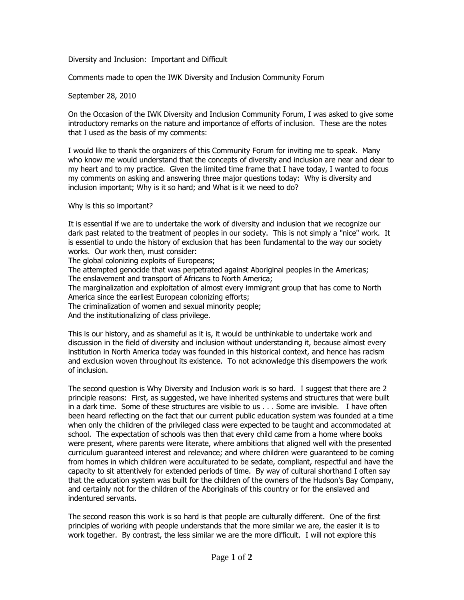Diversity and Inclusion: Important and Difficult

Comments made to open the IWK Diversity and Inclusion Community Forum

## September 28, 2010

On the Occasion of the IWK Diversity and Inclusion Community Forum, I was asked to give some introductory remarks on the nature and importance of efforts of inclusion. These are the notes that I used as the basis of my comments:

I would like to thank the organizers of this Community Forum for inviting me to speak. Many who know me would understand that the concepts of diversity and inclusion are near and dear to my heart and to my practice. Given the limited time frame that I have today, I wanted to focus my comments on asking and answering three major questions today: Why is diversity and inclusion important; Why is it so hard; and What is it we need to do?

## Why is this so important?

It is essential if we are to undertake the work of diversity and inclusion that we recognize our dark past related to the treatment of peoples in our society. This is not simply a "nice" work. It is essential to undo the history of exclusion that has been fundamental to the way our society works. Our work then, must consider:

The global colonizing exploits of Europeans;

The attempted genocide that was perpetrated against Aboriginal peoples in the Americas; The enslavement and transport of Africans to North America;

The marginalization and exploitation of almost every immigrant group that has come to North America since the earliest European colonizing efforts;

The criminalization of women and sexual minority people;

And the institutionalizing of class privilege.

This is our history, and as shameful as it is, it would be unthinkable to undertake work and discussion in the field of diversity and inclusion without understanding it, because almost every institution in North America today was founded in this historical context, and hence has racism and exclusion woven throughout its existence. To not acknowledge this disempowers the work of inclusion.

The second question is Why Diversity and Inclusion work is so hard. I suggest that there are 2 principle reasons: First, as suggested, we have inherited systems and structures that were built in a dark time. Some of these structures are visible to us . . . Some are invisible. I have often been heard reflecting on the fact that our current public education system was founded at a time when only the children of the privileged class were expected to be taught and accommodated at school. The expectation of schools was then that every child came from a home where books were present, where parents were literate, where ambitions that aligned well with the presented curriculum guaranteed interest and relevance; and where children were guaranteed to be coming from homes in which children were acculturated to be sedate, compliant, respectful and have the capacity to sit attentively for extended periods of time. By way of cultural shorthand I often say that the education system was built for the children of the owners of the Hudson's Bay Company, and certainly not for the children of the Aboriginals of this country or for the enslaved and indentured servants.

The second reason this work is so hard is that people are culturally different. One of the first principles of working with people understands that the more similar we are, the easier it is to work together. By contrast, the less similar we are the more difficult. I will not explore this